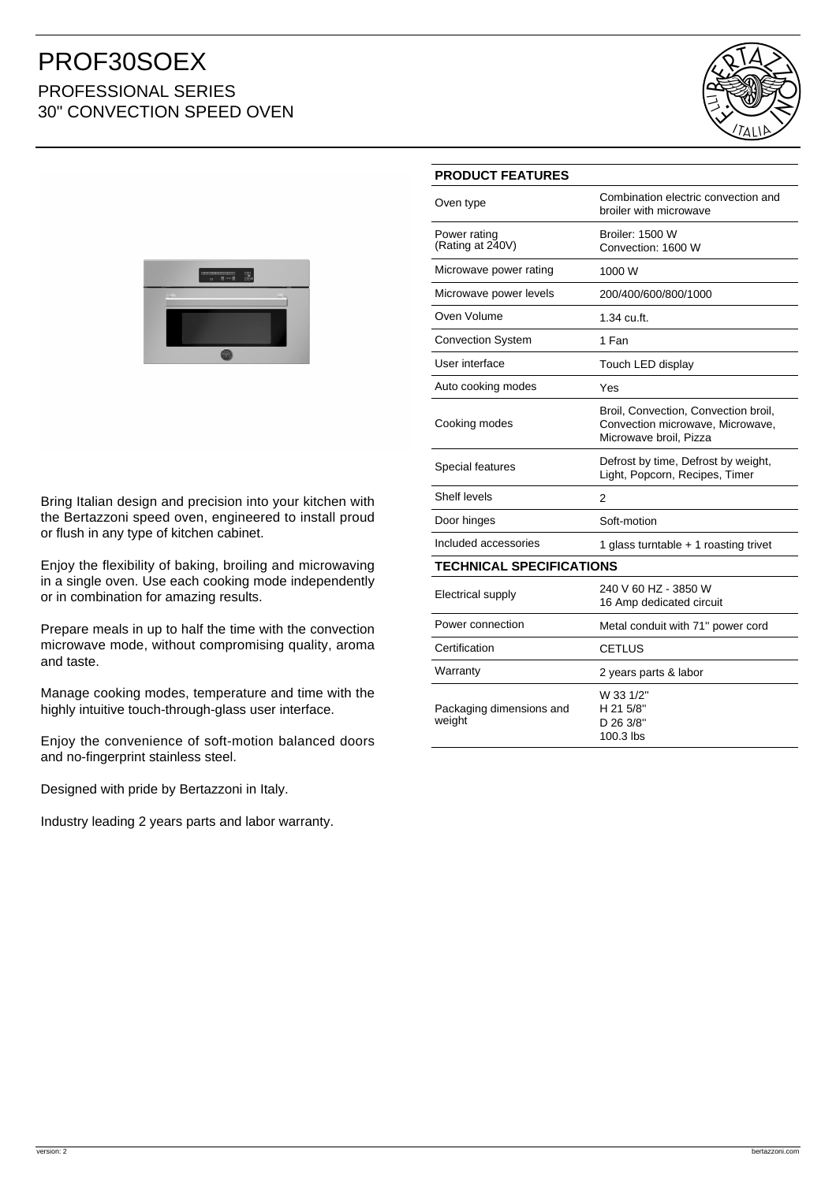## PROF30SOEX PROFESSIONAL SERIES 30" CONVECTION SPEED OVEN





Bring Italian design and precision into your kitchen with the Bertazzoni speed oven, engineered to install proud or flush in any type of kitchen cabinet.

Enjoy the flexibility of baking, broiling and microwaving in a single oven. Use each cooking mode independently or in combination for amazing results.

Prepare meals in up to half the time with the convection microwave mode, without compromising quality, aroma and taste.

Manage cooking modes, temperature and time with the highly intuitive touch-through-glass user interface.

Enjoy the convenience of soft-motion balanced doors and no-fingerprint stainless steel.

Designed with pride by Bertazzoni in Italy.

Industry leading 2 years parts and labor warranty.

### **PRODUCT FEATURES**

| Oven type                          | Combination electric convection and<br>broiler with microwave                                      |
|------------------------------------|----------------------------------------------------------------------------------------------------|
| Power rating<br>(Rating at 240V)   | <b>Broiler: 1500 W</b><br>Convection: 1600 W                                                       |
| Microwave power rating             | 1000 W                                                                                             |
| Microwave power levels             | 200/400/600/800/1000                                                                               |
| Oven Volume                        | 1.34 cu.ft.                                                                                        |
| <b>Convection System</b>           | 1 Fan                                                                                              |
| User interface                     | Touch LED display                                                                                  |
| Auto cooking modes                 | Yes                                                                                                |
| Cooking modes                      | Broil, Convection, Convection broil,<br>Convection microwave, Microwave,<br>Microwave broil, Pizza |
| Special features                   | Defrost by time, Defrost by weight,<br>Light, Popcorn, Recipes, Timer                              |
| Shelf levels                       | 2                                                                                                  |
| Door hinges                        | Soft-motion                                                                                        |
| Included accessories               | 1 glass turntable $+$ 1 roasting trivet                                                            |
| <b>TECHNICAL SPECIFICATIONS</b>    |                                                                                                    |
| <b>Electrical supply</b>           | 240 V 60 HZ - 3850 W<br>16 Amp dedicated circuit                                                   |
| Power connection                   | Metal conduit with 71" power cord                                                                  |
| Certification                      | <b>CETLUS</b>                                                                                      |
| Warranty                           | 2 years parts & labor                                                                              |
| Packaging dimensions and<br>weight | W 33 1/2"<br>H 21 5/8"<br>D 26 3/8"<br>100.3 lbs                                                   |